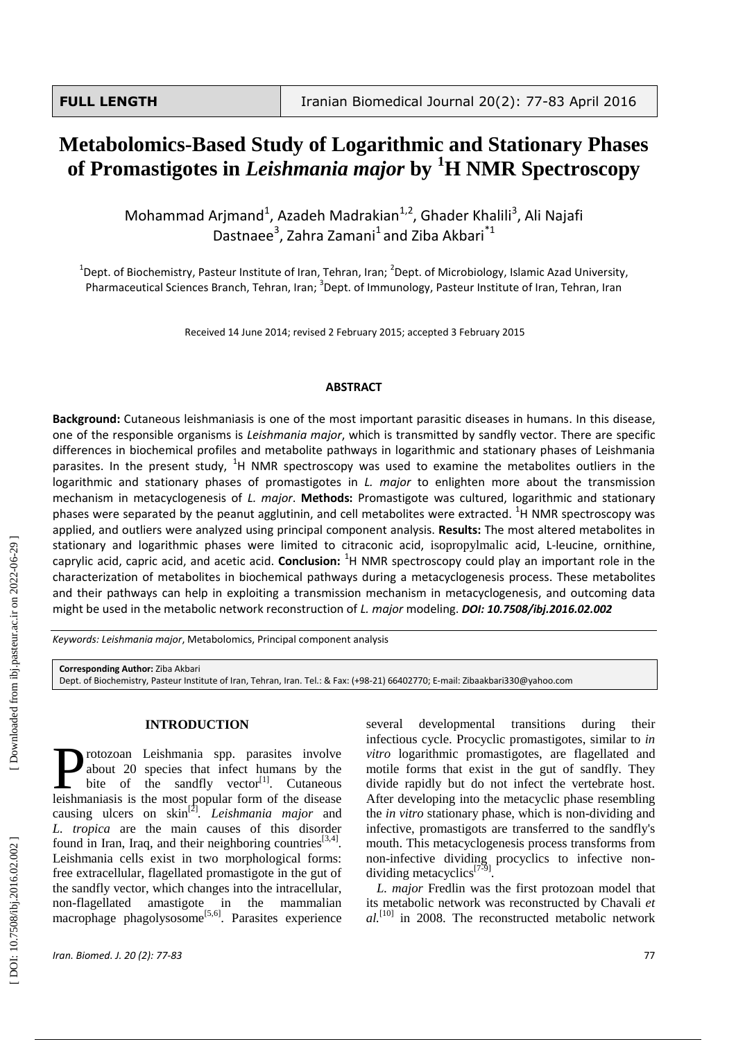# **Metabolomics -Based Study of Logarithmic and Stationary Phases of Promastigotes in** *Leishmania major* **by <sup>1</sup>H NMR Spectroscopy**

Mohammad Arjmand<sup>1</sup>, Azadeh Madrakian<sup>1,2</sup>, Ghader Khalili<sup>3</sup>, Ali Najafi Dastnaee<sup>3</sup>, Zahra Zamani<sup>1</sup> and Ziba Akbari<sup>\*1</sup>

<sup>1</sup>Dept. of Biochemistry, Pasteur Institute of Iran, Tehran, Iran; <sup>2</sup>Dept. of Microbiology, Islamic Azad University, Pharmaceutical Sciences Branch, Tehran, Iran; <sup>3</sup>Dept. of Immunology, Pasteur Institute of Iran, Tehran, Iran

Received 14 June 2014; revised 2 February 2015; accepted 3 February 2015

#### **ABSTRACT**

**Background:** Cutaneous leishmaniasis is one of the most important parasitic diseases in humans. In this disease, one of the responsible organisms is *Leishmania major*, which is transmitted by sandfly vector. There are specific differences in biochemical profiles and metabolite pathways in logarithmic and stationary phases of Leishmania parasites. In the present study, <sup>1</sup>H NMR spectroscopy was used to examine the metabolites outliers in the logarithmic and stationary phases of promastigotes in *L. major* to enlighten more about the transmission mechanism in metacyclogenesis of *L. major* . **Methods:** Promastigote was cultured, logarithmic and stationary phases were separated by the peanut agglutinin, and cell metabolites were extracted. <sup>1</sup>H NMR spectroscopy was applied, and outliers were analyzed using principal component analysis. **Results:** The most altered metabolites in stationary and logarithmic phases were limited to citraconic acid, isopropylmalic acid, L -leucine, ornithine, caprylic acid, capric acid, and acetic acid. **Conclusion:** <sup>1</sup>H NMR spectroscopy could play an important role in the characterization of metabolites in biochemical pathways during a metacyclogenesis process. These metabolites and their pathways can help in exploiting a transmission mechanism in metacyclogenesis , and outcoming data might be used in the metabolic network reconstruction of *L. major* modeling. *DOI: 10 .7508/ibj.2016.02.002*

*Keywords: Leishmania major*, Metabolomics, Principal component analysis

**Corresponding Author:** Ziba Akbari

Dept. of Biochemistry, Pasteur Institute of Iran, Tehran, Iran. Tel.: & Fax: (+98-21) 66402770; E-mail: Zibaakbari330@yahoo.com

## **INTRODUCTION**

rotozoan Leishmania spp . parasites involve about 20 species that infect humans by the bite of the sandfly vector<sup>[1]</sup>. Cutaneous **leishmania** spp. parasites involve about 20 species that infect humans by the bite of the sandfly vector<sup>[1]</sup>. Cutaneous leishmaniasis is the most popular form of the disease causing ulcers on skin [ 2 ] *. Leishmania major* and *L. tropica* are the main cause s of this disorder found in Iran, Iraq, and their neighboring countries<sup>[3,4]</sup>. Leishmania cells exist in two morphological forms: free extracellular , flagellated promastigote in the gut of the sandfly vector, which changes into the intracellular, non -flagellated amastigote in the mammalian macrophage phagolysosome<sup>[5,6]</sup>. Parasites experience several developmental transitions during their infectious cycle. Procyclic promastigotes, similar to *in vitro* logarithmic promastigotes, are flagellated and motile forms that exist in the gut of sandfly. They divide rapidly but do not infect the vertebrate host. After developing into the metacyclic phase resembling the *in vitro* stationary phase, which is non -dividing and infective, promastigots are transferred to the sandfly's mouth. This metacyclogenesis process transforms from non -infective dividing procyclics to infective non dividing metacyclics<sup>[7-9]</sup>.

*L. major* Fredlin was the first protozoan model that its metabolic network was reconstructed by Chavali *et al.*<sup>[10]</sup> in 2008. The reconstructed metabolic network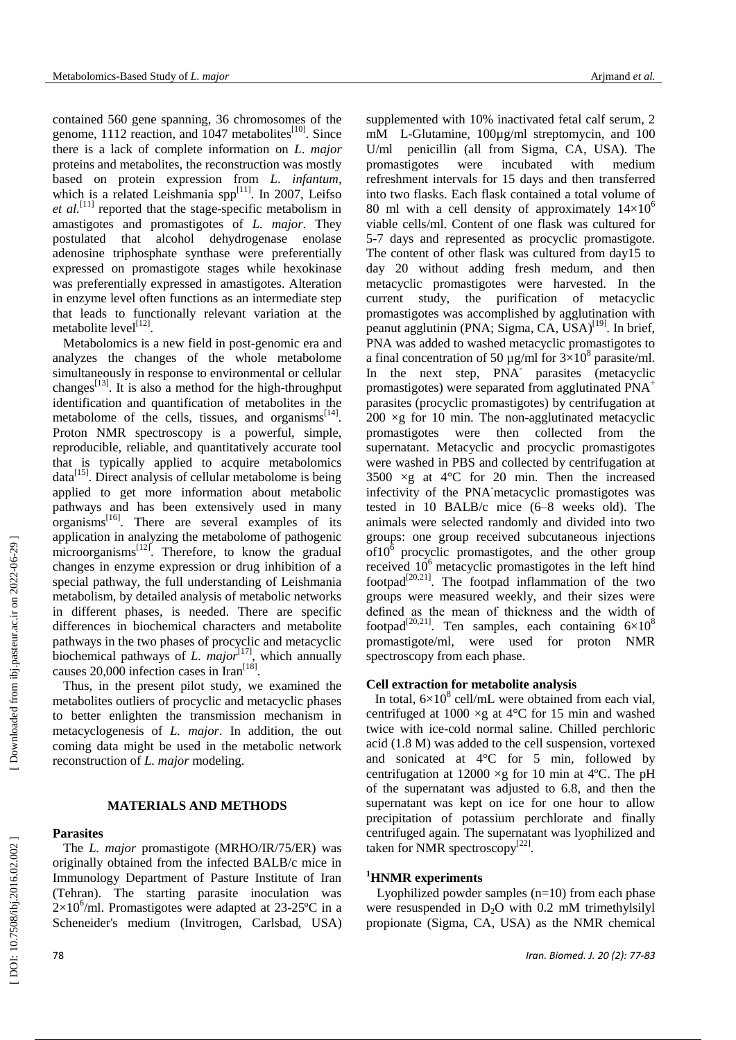contained 560 gene spanning , 36 chromosomes of the genome, 1112 reaction, and 1047 metabolites<sup>[10]</sup>. Since there is a lack of complete information on *L* . *major* proteins and metabolites, the reconstruction was mostly based on protein expression from *L*. *infantum* , which is a related Leishmania spp<sup>[11]</sup>. In 2007, Leifso et al.<sup>[11]</sup> reported that the stage-specific metabolism in amastigotes and promastigotes of *L. major*. They postulated that alcohol dehydrogenase enolase adenosine triphosphate synthase were preferentially expressed on promastigote stages while hexokinase was preferentially expressed in amastigotes. Alteration in enzyme level often function s as an intermediate step that lead s to functionally relevant variation at the metabolite level<sup>[12]</sup>.

Metabolomics is a new field in post -genomic era and analyze s the changes of the whole metabolome simultaneously in response to environmental or cellular changes<sup>[13]</sup>. It is also a method for the high-throughput identification and quantification of metabolites in the metabolome of the cells, tissues, and organisms<sup>[14]</sup>. Proton NMR spectroscopy is a powerful, simple, reproducible, reliable, and quantitatively accurate tool that is typically applied to acquire metabolomics data<sup>[15]</sup>. Direct analysis of cellular metabolome is being applied to get more information about metabolic pathways and has been extensively used in many organisms<sup>[16]</sup>. There are several examples of its application in analyzing the metabolome of pathogenic microorganisms<sup>[12]</sup>. Therefore, to know the gradual changes in enzyme expression or drug inhibition of a special pathway, the full understanding of Leishmania metabolism, by detailed analysis of metabolic networks in different phases, is needed. There are specific differences in biochemical characters and metabolite pathways in the two phases of procyclic and metacyclic biochemical pathways of *L. major*<sup>[17]</sup>, which annually causes 20,000 infection cases in Iran<sup>[18]</sup>.

Thus, in the present pilot study, we examined the metabolites outliers of procyclic and metacyclic phases to better enlighten the transmission mechanism in metacyclogenesis of *L. majo r*. In addition, the out coming data might be used in the metabolic network reconstruction of *L. major* modeling.

# **MATERIALS AND METHODS**

#### **Parasites**

The *L. major* promastigote (MRHO/IR/75/ER) was originally obtained from the infected BALB/c mice in Immunology Department of Pasture Institute of Iran (Tehran). The starting parasite inoculation was  $2\times10^6$ /ml. Promastigotes were adapted at 23-25°C in a Scheneider's medium (Invitrogen, [Carlsbad, USA](http://en.wikipedia.org/wiki/Carlsbad,_California) )

supplemented with 10% inactivated fetal calf serum, 2  $mM$ -Glutamine, 100µg/ml streptomycin, and 100 U/ml penicillin (all from Sigma, CA, USA). The promastigotes were incubated with medium refreshment intervals for 15 days and then transferred into two flasks. Each flask contained a total volume of 80 ml with a cell density of approximately  $14\times10^6$  viable cells/ml. Content of one flask was cultured for 5-7 days and represented as procyclic promastigote. The content of other flask was cultured from day15 to day 20 without adding fresh medum , and then metacyclic promastigotes were harvested. In the current study, the purification of metacyclic promastigotes was accomplished by agglutination with peanut agglutinin (PNA; Sigma, CA, USA)<sup>[19]</sup>. In brief, PNA was added to washed metacyclic promastigotes to a final concentration of 50  $\mu$ g/ml for 3×10<sup>8</sup> parasite/ml. In the next step, PNA<sup>-</sup> parasites (metacyclic promastigotes) were separated from agglutinated PNA<sup>+</sup> parasites (procyclic promastigotes) by centrifugation at  $200 \times g$  for 10 min. The non-agglutinated metacyclic promastigotes were then collected from the supernatant. Metacyclic and procyclic promastigotes were washed in PBS and collected by centrifugation at  $3500 \times g$  at  $4^{\circ}$ C for 20 min. Then the increased infectivity of the PNA -metacyclic promastigotes was tested in 10 BALB/c mice (6 –8 weeks old ). The animals were selected randomly and divided into two groups: one group received subcutaneous injections  $of 10<sup>6</sup>$  procyclic promastigotes, and the other group received  $10<sup>6</sup>$  metacyclic promastigotes in the left hind footpad<sup>[20,21]</sup>. The footpad inflammation of the two groups were measured weekly, and their sizes were defined as the mean of thickness and the width of footpad<sup>[20,21]</sup>. Ten samples, each containing  $6\times10^8$ promastigote/ml, were used for proton NMR spectroscopy from each phase.

# **Cell extraction for metabolite analysis**

In total,  $6\times10^8$  cell/mL were obtained from each vial, centrifuged at  $1000 \times g$  at  $4^{\circ}$ C for 15 min and washed twice with ice -cold normal saline. Chilled perchloric acid (1.8 M) was added to the cell suspension, vortexed and sonicated at  $4^{\circ}$ C for 5 min, followed by centrifugation at  $12000 \times g$  for 10 min at 4°C. The pH of the supernatant was adjusted to 6.8, and then the supernatant was kept on ice for one hour to allow precipitation of potassium perchlorate and finally centrifuged again. The supernatant was lyophilized and taken for NMR spectroscopy<sup>[22]</sup>.

# **<sup>1</sup>HNMR experiments**

Lyophilized powder samples (n=10) from each phase were resuspended in D <sup>2</sup>O with 0.2 mM trimethylsilyl propionate (Sigma, CA, USA) as the NMR chemical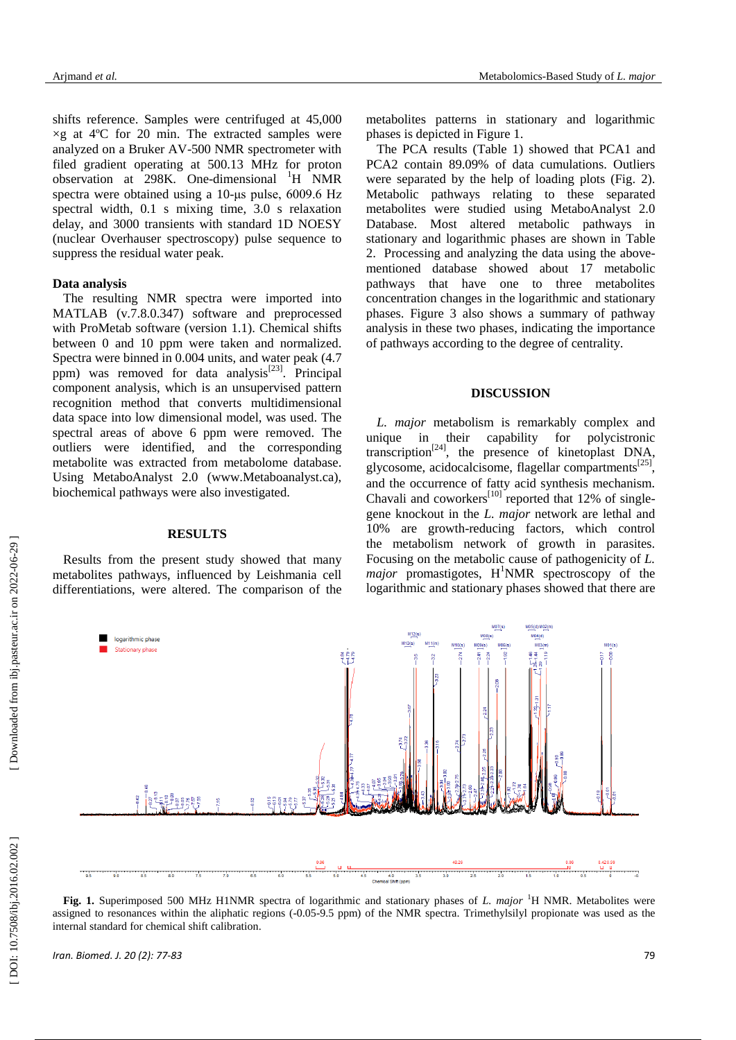shifts reference. Samples were centrifuged at 45 ,000  $\times$ g at 4°C for 20 min. The extracted samples were analyzed on a Bruker AV -500 NMR spectrometer with filed gradient operating at 500.13 MHz for proton observation at 298K. One-dimensional <sup>1</sup>H NMR spectra were obtained using a 10-μs pulse, 6009.6 Hz spectral width, 0.1 s mixing time, 3.0 s relaxation<br>delay, and 3000 transients with standard 1D NOESY (nuclear Overhauser spectroscopy) pulse sequence to suppress the residual water peak.

## **Data analysis**

The resulting NMR spectra were imported into MATLAB ( v.7.8.0.347) software and preprocessed with ProMetab software (version 1.1). Chemical shifts between 0 and 10 ppm were taken and normalized. Spectra were binned in 0.004 units , and water peak (4.7 ppm) was removed for data analysis<sup>[23]</sup>. Principal component analysis, which is an unsupervised pattern recognition method that convert s multidimensional data space into low dimensional model, was used. The spectral areas of above 6 ppm were removed. The outliers were identified, and the corresponding metabolite was extracted from metabolome database. Using Metabo Analyst 2.0 [\(www.Metaboanalyst.ca](http://www.metaboanalyst.ca/) ), biochemical pathways were also investigated.

### **RESULTS**

Results from the present study showed that many metabolites pathways, influenced by Leishmania cell differentiations, were altered. The comparison of the metabolites patterns in stationary and logarithmic phases is depicted in Figure 1.

The PCA results ( Table 1) showed that PCA1 and PCA2 contain 89.09% of data cumulations. Outliers were separated by the help of loading plots (Fig. 2). Metabolic pathways relating to these separated metabolites were studied using Metabo Analyst 2.0 Database. Most altered metabolic pathways in stationary and logarithmic phases are shown in Table 2. Processing and analyzing the data using the above mentioned database showed about 17 metabolic pathways that have one to three metabolites concentration changes in the logarithmic and stationary phases. Figure 3 also shows a summary of pathway analysis in these two phases , indicating the importance of pathways according to the degree of centrality.

## **DISCUSSION**

*L. major* metabolism is remarkably complex and unique in their capability for polycistronic transcription<sup>[24]</sup>, the presence of kinetoplast DNA, glycosome, acidocalcisome, flagellar compartments<sup>[25]</sup>, and the occurrence of fatty acid synthesis mechanism. Chavali and coworkers $^{[10]}$  reported that 12% of singlegene knockout in the *L. major* network are lethal and 10% are growth -reducing factors, which control the metabolism network of growth in parasites. Focusing on the metabolic cause of pathogenicity of *L.* major promastigotes, H<sup>1</sup>NMR spectroscopy of the logarithmic and stationary phases showed that there are



**Fig. 1.** Superimposed 500 MHz H1NMR spectra of logarithmic and stationary phases of *L. major* <sup>1</sup>H NMR. Metabolites were assigned to resonances within the aliphatic regions (-0.05-9.5 ppm) of the NMR spectra. Trimethylsilyl propionate was used as the internal standard for chemical shift calibration.

 [\[ DOI: 10.7508/ibj.2016.02.002 \]](http://dx.doi.org/10.7508/ibj.2016.02.002) [\[ Downloaded from ibj.pasteur.ac.ir on 202](http://ibj.pasteur.ac.ir/article-1-1581-en.html)2-06-29 ]

DOI: 10.7508/ibj.2016.02.002

[Downloaded from ibj.pasteur.ac.ir on 2022-06-29]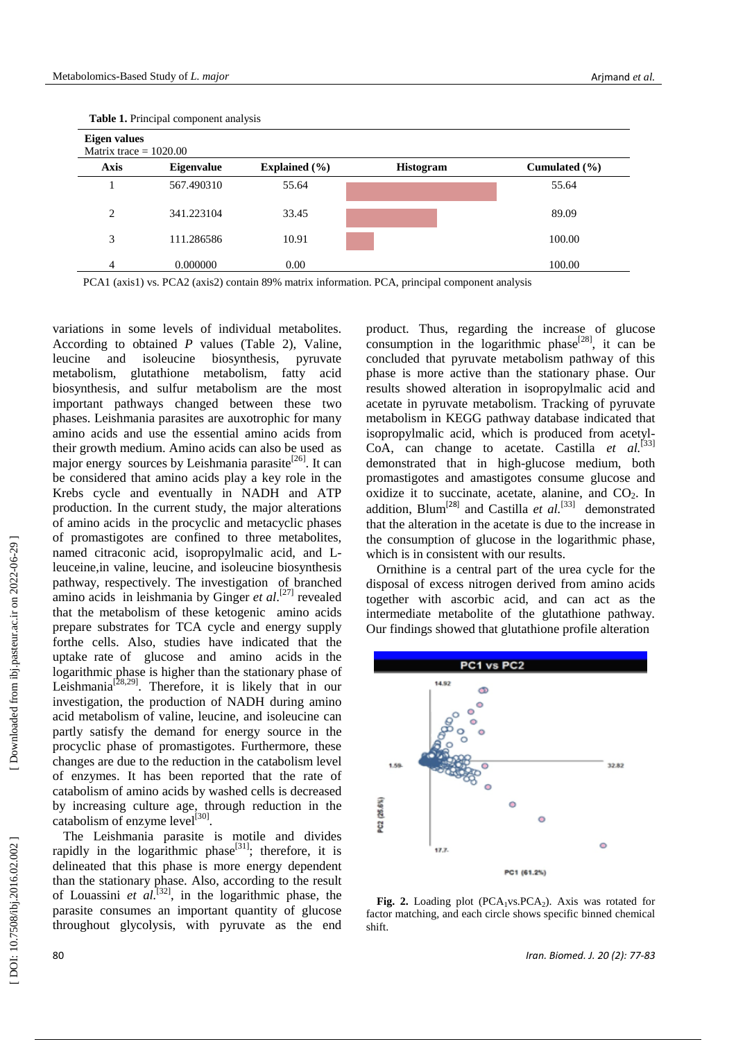| $\pm$ where $\pm$ , $\pm$ throupon component and $\pm$<br>Eigen values<br>Matrix trace $= 1020.00$ |            |       |  |        |  |  |  |  |  |
|----------------------------------------------------------------------------------------------------|------------|-------|--|--------|--|--|--|--|--|
|                                                                                                    |            |       |  |        |  |  |  |  |  |
|                                                                                                    | 567.490310 | 55.64 |  | 55.64  |  |  |  |  |  |
| 2                                                                                                  | 341.223104 | 33.45 |  | 89.09  |  |  |  |  |  |
| 3                                                                                                  | 111.286586 | 10.91 |  | 100.00 |  |  |  |  |  |
| 4                                                                                                  | 0.000000   | 0.00  |  | 100.00 |  |  |  |  |  |

 **Table 1.** Principal component analysis

PCA1 (axis1) vs. PCA2 (axis2) contain 89% matrix information. PCA, principal component analysis

variations in some levels of individual metabolites. According to obtained *P* values (Table 2), Valine, leucine and isoleucine biosynthesis, pyruvate metabolism, glutathione metabolism, fatty acid biosynthesis, and sulfur metabolism are the most important pathways changed between these two phases. Leishmania parasites are auxotrophic for many amino acids and use the essential amino acids from their growth medium. Amino acids can also be used as major energy sources by Leishmania parasite<sup>[26]</sup>. It can be considered that amino acids play a key role in the Krebs cycle and eventually in NADH and ATP production. In the current study, the major alterations of amino acids in the procyclic and metacyclic phases of promastigotes are confined to three metabolites, named citraconic acid, isopropylmalic acid, and Lleuceine ,in valine, leucine, and isoleucine biosynthesis pathway, respectively. The investigation of branched amino acids in leishmania by Ginger *et al*.<sup>[27]</sup> revealed that the metabolism of these ketogenic amino acids prepare substrates for TCA cycle and energy supply forthe cells. Also, studies have indicated that the uptake rate of glucose and amino acids in the logarithmic phase is higher than the stationary phase of Leishmania<sup>[28,29]</sup>. Therefore, it is likely that in our investigation, the production of NADH during amino acid metabolism of valine, leucine , and isoleucine can partly satisfy the demand for energy source in the procyclic phase of promastigotes. Furthermore, these changes are due to the reduction in the catabolism level of enzymes. It has been reported that the rate of catabolism of amino acids by washed cells is decreased by increasing culture age, through reduction in the catabolism of enzyme level<sup>[30]</sup>.

The Leishmania parasite is motile and divide s rapidly in the logarithmic phase<sup>[31]</sup>; therefore, it is [delineated](http://www.thefreedictionary.com/delineate) that this phase is more energy dependent than the stationary phase. Also, according to the result of Louassini *et al.*<sup>[32]</sup>, in the logarithmic phase, the parasite consumes an important quantity of glucose throughout glycolysis, with pyruvate as the end

product. Thus, regarding the increase of glucose consumption in the logarithmic phase $^{[28]}$ , it can be concluded that pyruvate metabolism pathway of this phase is more active than the stationary phase. Our results showed alteration in isopropylmalic acid and acetate in pyruvate metabolism. Tracking of [pyruvate](http://scholar.google.com/scholar?q=Pyruvate+metabolism+in++KEGG+pathway++database&hl=en&as_sdt=0&as_vis=1&oi=scholart&sa=X&ei=qEzNVJn6MtbWau3pgoAL&ved=0CBoQgQMwAA)  metabolism in KEGG pathway database indicated that isopropylmalic acid, which is produced from acetyl-CoA, can change to acetate. Castilla *et al.*<sup>[33]</sup> demonstrated that in high-glucose medium, both promastigotes and amastigotes consume glucose and oxidize it to succinate, acetate, alanine, and  $CO<sub>2</sub>$ . In addition, Blum<sup>[28]</sup> and Castilla *et al.*<sup>[33]</sup> demonstrated that the alteration in the acetate is due to the increase in the consumption of glucose in the logarithmic phase, which is in consistent with our results.

Ornithine is a central part of the urea cycle for the disposal of excess nitrogen derived from amino acids together with ascorbic acid, and can act as the intermediate metabolite of the glutathione pathway. Our findings showed that glutathione profile alteration



**Fig. 2.** Loading plot  $(PCA_1vs.PCA_2)$ . Axis was rotated for factor matching, and each circle shows specific binned chemical shift.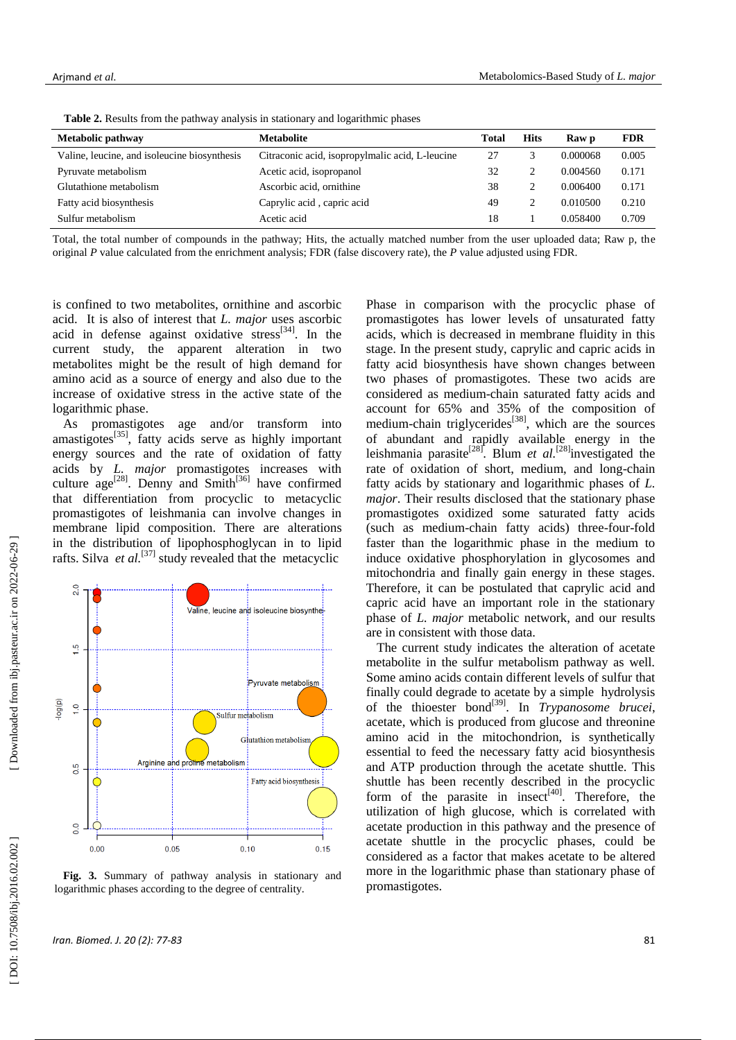| Metabolic pathway                            | <b>Metabolite</b>                               | Total | <b>Hits</b> | Raw p    | <b>FDR</b> |  |  |  |  |
|----------------------------------------------|-------------------------------------------------|-------|-------------|----------|------------|--|--|--|--|
| Valine, leucine, and isoleucine biosynthesis | Citraconic acid, isopropylmalic acid, L-leucine | 27    |             | 0.000068 | 0.005      |  |  |  |  |
| Pyruvate metabolism                          | Acetic acid, isopropanol                        | 32    | ↑           | 0.004560 | 0.171      |  |  |  |  |
| Glutathione metabolism                       | Ascorbic acid, ornithine                        | 38    | ↑           | 0.006400 | 0.171      |  |  |  |  |
| Fatty acid biosynthesis                      | Caprylic acid, capric acid                      | 49    | ↑           | 0.010500 | 0.210      |  |  |  |  |
| Sulfur metabolism                            | Acetic acid                                     | 18    |             | 0.058400 | 0.709      |  |  |  |  |

 **Table 2.** Results from the pathway analysis in stationary and logarithmic phases

Total, the total number of compounds in the pathway; Hits, the actually matched number from the user uploaded data; Raw p, the original *P* value calculated from the enrichment analysis; FDR (false discovery rate), the *P* value adjusted using FDR.

is confined to two metabolites, ornithine and ascorbic acid. It is also of interest that *L . major* uses ascorbic acid in defense against oxidative stress<sup>[34]</sup>. In the current study, the apparent alteration in two metabolites might be the result of high demand for amino acid as a source of energy and also due to the increase of oxidative stress in the active state of the logarithmic phase.

As promastigotes age and /or transform into amastigotes<sup>[35]</sup>, fatty acids serve as highly important energy sources and the rate of oxidation of fatty acids by *L. major* promastigotes increases with culture  $age^{[28]}$ . Denny and Smith<sup>[36]</sup> have confirmed that differentiation from procyclic to metacyclic promastigotes of leishmania can involve changes in membrane lipid composition. There are alteration s in the distribution of lipophosphoglycan in to lipid rafts. Silva *et al.*<sup>[37]</sup> study revealed that the metacyclic



**Fig. 3.** Summary of pathway analysis in stationary and logarithmic phases according to the degree of centrality.

*Iran. Biomed. J. 20 (2): 77* **-83** 81

Phase in comparison with the procyclic phase of promastigotes has lower levels of unsaturated fatty acids, which is decrease d in membrane fluidity in this stage. In the present study, caprylic and capric acid s in fatty acid biosynthesis have shown changes between two phases of promastigotes. These two acid s are considered as medium -chain saturated [fatty acids](http://en.wikipedia.org/wiki/Fatty_acid#Length_of_free_fatty_acid_chains) and account for 65% and 35% of the composition of medium-chain triglycerides<sup>[38]</sup>, which are the sources of abundant and rapidly available energy in the leishmania parasite<sup>[28]</sup>. Blum *et al.*<sup>[28]</sup>investigated the rate of oxidation of short, medium, and long -chain fatty acids by stationary and logarithmic phase s of *L. major*. Their results disclosed that the stationary phase promastigotes oxidized some saturated fatty acids (such as medium -chain fatty acids) three -four -fold faster than the logarithmic phase in the medium to induce oxidative phosphorylation in glycosomes and mitochondria and finally gain energy in these stages. Therefore, it can be postulated that caprylic acid and capric acid have an important role in the stationary phase of *L. major* metabolic network, and our results are in consistent with those data .

The current study indicates the alteration of acetate metabolite in the sulfur metabolism pathway as well. Some amino acids contain different levels of sulfur that finally could degrade to acetate by a simple hydrolysis of the thioester bond<sup>[39]</sup>. In *Trypanosome brucei*, acetate, which is produced from glucose and threonine amino acid in the mitochondrion, is synthetically essential to feed the necessary fatty acid biosynthesis and ATP production through the acetate shuttle. This shuttle has been recently described in the procyclic form of the parasite in insect<sup>[40]</sup>. Therefore, the utilization of high glucose, which is correlated with acetate production in this pathway and the presence of acetate shuttle in the procyclic phases, could be considered as a factor that makes acetate to be alter ed more in the logarithmic phase than stationary phase of promastigotes.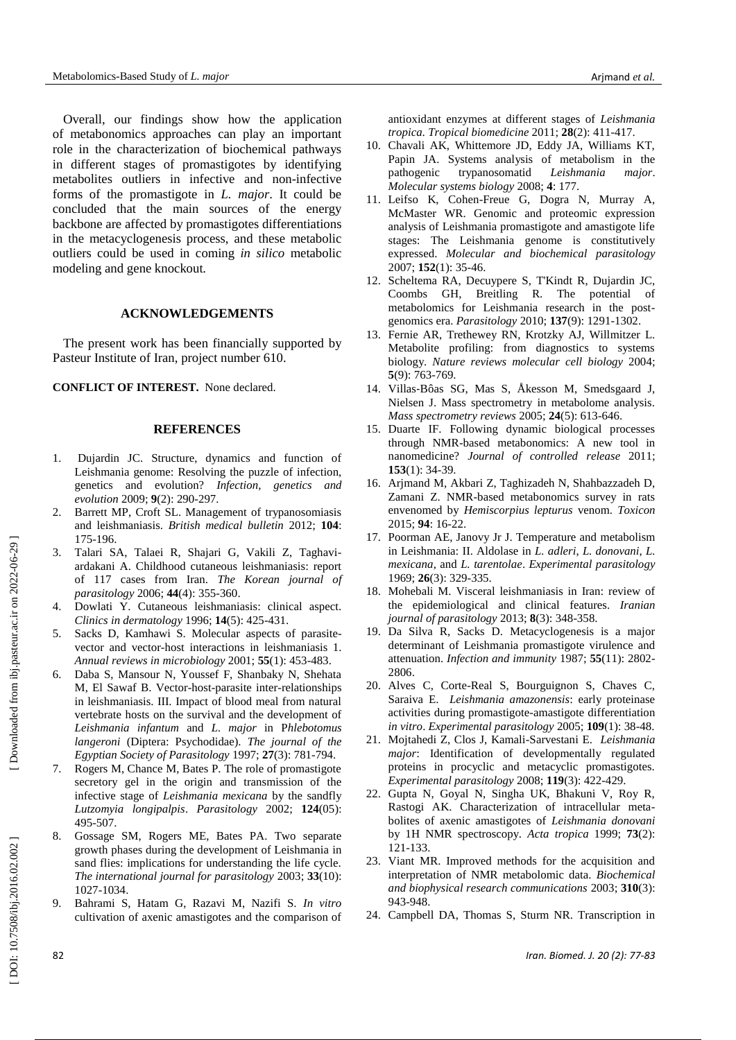Overall, our findings show how the application of metabonomic s approaches can play an important role in the characterization of biochemical pathways in different stages of promastigotes by identifying metabolites outliers in infective and non -infective forms of the promastigote in *L. major*. It could be concluded that the main sources of the energy backbone are affected by promastigotes differentiations in the metacyclogenesis process , and these metabolic outliers could be used in coming *in silico* metabolic modeling and gene knockout.

## **ACKNOWLEDGEMENTS**

T he present work has been financially supported by Pasteur Institute of Iran , project number 610.

**CONFLICT OF INTEREST.** None declared.

#### **REFERENCES**

- 1 . Dujardin JC. Structure, dynamics and function of Leishmania genome: Resolving the puzzle of infection, genetics and evolution? *Infection, genetics and evolution* 2009; **9**(2): 290 -297 .
- 2. . Barrett MP, Croft SL. Management of trypanosomiasis and leishmaniasis. *British medical bulletin* 2012; **104**: 175 -196.
- 3. . Talari SA, Talaei R, Shajari G, Vakili Z, Taghavi ardakani A. Childhood cutaneous leishmaniasis: report of 117 cases from Iran. *The Korean journal of parasitology* 2006; **44**(4): 355-360.
- 4 . Dowlati Y. Cutaneous leishmaniasis: clinical aspect. *Clinics in dermatology* 1996; **14**(5): 425 -431 .
- 5 . Sacks D, Kamhawi S. Molecular aspects of parasite vector and vector - host interactions in leishmaniasis 1. *Annual reviews in microbiology* 2001; **55**(1): 453 -483 .
- 6 . Daba S, Mansour N, Youssef F, Shanbaky N, Shehata M, El Sawaf B. Vector -host -parasite inter -relationships in leishmaniasis. III. Impact of blood meal from natural vertebrate hosts on the survival and the development of *Leishmania infantum* and *L. major* in P*hlebotomus langeroni* (Diptera: Psychodidae). *The journal of the Egyptian Society of Parasitology* 1997; **27**(3): 781 -794 .
- 7 . Rogers M, Chance M, Bates P. The role of promastigote secretory gel in the origin and transmission of the infective stage of *Leishmania mexicana* by the sandfly *Lutzomyia longipalpis* . *Parasitology* 2002; **124**(05): 495 -507 .
- 8 . Gossage SM, Rogers ME, Bates PA. Two separate growth phases during the development of Leishmania in sand flies: implications for understanding the life cycle. *The international journal for parasitology* 2003; **33**(10): 1027 -1034 .
- 9 . Bahrami S, Hatam G, Razavi M, Nazifi S. *In vitro*  cultivation of axenic amastigotes and the comparison of

antioxidant enzymes at different stages of *Leishmania tropica* . *Tropical biomedicine* 2011; **28**(2): 411 -417 .

- 10 . Chavali AK, Whittemore JD, Eddy JA, Williams KT, Papin JA. Systems analysis of metabolism in the pathogenic trypanosomatid *Leishmania* major. *Molecular systems biology*  2008; **4**: 177 .
- 11 . Leifso K, Cohen -Freue G, Dogra N, Murray A, McMaster WR. Genomic and proteomic expression analysis of Leishmania promastigote and amastigote life stages: The Leishmania genome is constitutively expressed. *Molecular and biochemical parasitology* 2007; **152**(1): 35 -46 .
- 12 . Scheltema RA, Decuypere S, T'Kindt R, Dujardin JC, Coombs GH, Breitling R. The potential of metabolomics for Leishmania research in the post genomics era. *Parasitology* 2010; **137**(9): 1291 -1302 .
- 13 . Fernie AR, Trethewey RN, Krotzky AJ, Willmitzer L. Metabolite profiling: from diagnostics to systems biology. *Nature reviews molecular cell biology* 2004; **5**(9): 763 -769 .
- 14 . Villas ‐Bôas SG, Mas S, Åkesson M, Smedsgaard J, Nielsen J. Mass spectrometry in metabolome analysis. *Mass spectrometry reviews* 2005; **24**(5): 613 -646 .
- 15 . Duarte IF. Following dynamic biological processes through NMR -based metabonomics: A new tool in nanomedicine? *Journal of controlled release* 2011; **153**(1): 34 -39 .
- 16 . Arjmand M, Akbari Z, Taghizadeh N, Shahbazzadeh D, Zamani Z. NMR -based metabonomics survey in rats envenomed by *Hemiscorpius lepturus* venom. *Toxicon*  2015; **94**: 16 -22 .
- 17 . Poorman AE, Janovy Jr J. Temperature and metabolism in Leishmania: II. Aldolase in *L. adleri*, *L. donovani*, *L. mexicana*, and *L. tarentolae* . *Experimental parasitology*  1969; **26**(3): 329 -335 .
- 18 . Mohebali M. Visceral leishmaniasis in Iran: review of the epidemiological and clinical features. *Iranian journal of parasitology* 2013; **8**(3): 348 -358 .
- 19 . Da Silva R, Sacks D. Metacyclogenesis is a major determinant of Leishmania promastigote virulence and attenuation. *Infection and immunity* 1987; **55**(11): 2802 - 2806 .
- 20 . Alves C, Corte -Real S, Bourguignon S, Chaves C, Saraiva E. *Leishmania amazonensis*: early proteinase activities during promastigote -amastigote differentiation *in vitro* . *Experimental parasitology* 2005; **109**(1): 38 -48 .
- 21 . Mojtahedi Z, Clos J, Kamali -Sarvestani E. *Leishmania major*: Identification of developmentally regulated proteins in procyclic and metacyclic promastigotes. *Experimental parasitology* 2008; **119**(3): 422 -429 .
- 22 . Gupta N, Goyal N, Singha UK, Bhakuni V, Roy R, Rastogi AK. Characterization of intracellular meta bolites of axenic amastigotes of *Leishmania donovani*  by 1H NMR spectroscopy. *Acta tropica* 1999; **73**(2): 121 -133 .
- 23 . Viant MR. Improved methods for the acquisition and interpretation of NMR metabolomic data. *Biochemical and biophysical research communications* 2003; **310**(3): 943 -948 .
- 24 . Campbell DA, Thomas S, Sturm NR. Transcription in